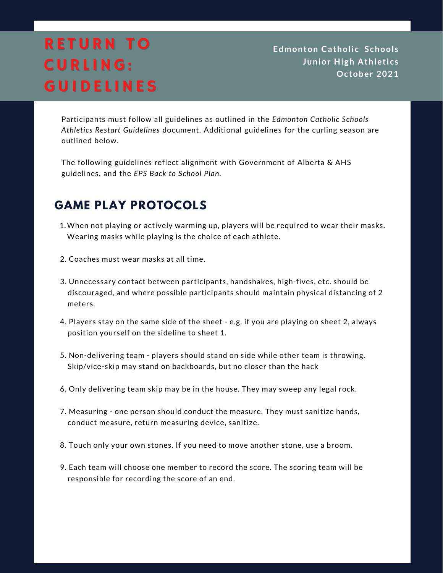# **RETURN TO** CURLING: **GUIDELINES**

**Edmonton Catholic School s Junior High Athletics October 2021**

Participants must follow all guidelines as outlined in the *Edmonton Catholic Schools Athletics Restart Guidelines* document. Additional guidelines for the curling season are outlined below.

The following guidelines reflect alignment with Government of Alberta & AHS guidelines, and the *EPS Back to School Plan.*

#### **GAME PLAY PROTOCOLS**

- 1. When not playing or actively warming up, players will be required to wear their masks. Wearing masks while playing is the choice of each athlete.
- 2. Coaches must wear masks at all time.
- 3. Unnecessary contact between participants, handshakes, high-fives, etc. should be discouraged, and where possible participants should maintain physical distancing of 2 meters.
- 4. Players stay on the same side of the sheet e.g. if you are playing on sheet 2, always position yourself on the sideline to sheet 1.
- 5. Non-delivering team players should stand on side while other team is throwing. Skip/vice-skip may stand on backboards, but no closer than the hack
- 6. Only delivering team skip may be in the house. They may sweep any legal rock.
- 7. Measuring one person should conduct the measure. They must sanitize hands, conduct measure, return measuring device, sanitize.
- 8. Touch only your own stones. If you need to move another stone, use a broom.
- 9. Each team will choose one member to record the score. The scoring team will be responsible for recording the score of an end.